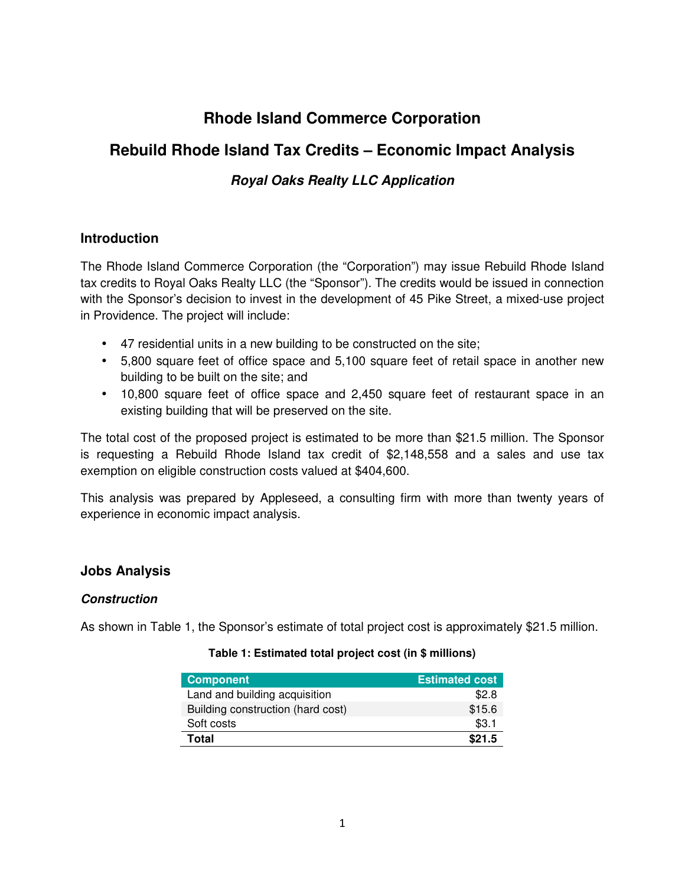# **Rhode Island Commerce Corporation**

## **Rebuild Rhode Island Tax Credits – Economic Impact Analysis**

## **Royal Oaks Realty LLC Application**

## **Introduction**

The Rhode Island Commerce Corporation (the "Corporation") may issue Rebuild Rhode Island tax credits to Royal Oaks Realty LLC (the "Sponsor"). The credits would be issued in connection with the Sponsor's decision to invest in the development of 45 Pike Street, a mixed-use project in Providence. The project will include:

- 47 residential units in a new building to be constructed on the site;
- 5,800 square feet of office space and 5,100 square feet of retail space in another new building to be built on the site; and
- 10,800 square feet of office space and 2,450 square feet of restaurant space in an existing building that will be preserved on the site.

The total cost of the proposed project is estimated to be more than \$21.5 million. The Sponsor is requesting a Rebuild Rhode Island tax credit of \$2,148,558 and a sales and use tax exemption on eligible construction costs valued at \$404,600.

This analysis was prepared by Appleseed, a consulting firm with more than twenty years of experience in economic impact analysis.

## **Jobs Analysis**

## **Construction**

As shown in Table 1, the Sponsor's estimate of total project cost is approximately \$21.5 million.

#### **Table 1: Estimated total project cost (in \$ millions)**

| <b>Component</b>                  | <b>Estimated cost</b> |
|-----------------------------------|-----------------------|
| Land and building acquisition     | \$2.8                 |
| Building construction (hard cost) | \$15.6                |
| Soft costs                        | \$3.1                 |
| Total                             | \$21.5                |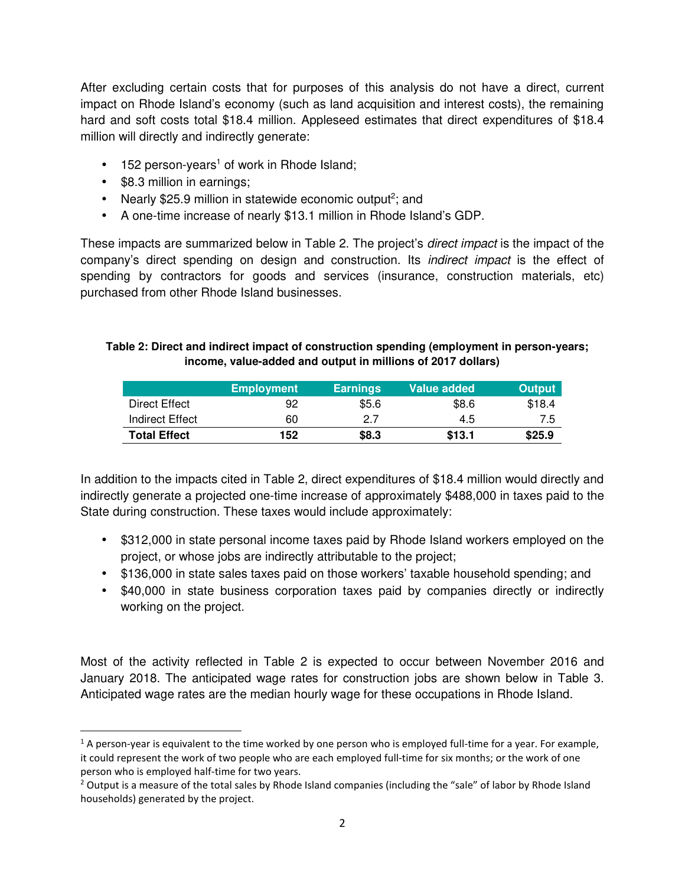After excluding certain costs that for purposes of this analysis do not have a direct, current impact on Rhode Island's economy (such as land acquisition and interest costs), the remaining hard and soft costs total \$18.4 million. Appleseed estimates that direct expenditures of \$18.4 million will directly and indirectly generate:

- $\bullet$  152 person-years<sup>1</sup> of work in Rhode Island;
- \$8.3 million in earnings;

 $\overline{a}$ 

- Nearly \$25.9 million in statewide economic output<sup>2</sup>; and
- A one-time increase of nearly \$13.1 million in Rhode Island's GDP.

These impacts are summarized below in Table 2. The project's *direct impact* is the impact of the company's direct spending on design and construction. Its indirect impact is the effect of spending by contractors for goods and services (insurance, construction materials, etc) purchased from other Rhode Island businesses.

#### **Table 2: Direct and indirect impact of construction spending (employment in person-years; income, value-added and output in millions of 2017 dollars)**

|                      | <b>Employment</b> | <b>Earnings</b> | Value added | <b>Output</b> |
|----------------------|-------------------|-----------------|-------------|---------------|
| <b>Direct Effect</b> | 92                | \$5.6           | \$8.6       | \$18.4        |
| Indirect Effect      | 60                | 2.7             | 4.5         | 7.5           |
| <b>Total Effect</b>  | 152               | \$8.3           | \$13.1      | \$25.9        |

In addition to the impacts cited in Table 2, direct expenditures of \$18.4 million would directly and indirectly generate a projected one-time increase of approximately \$488,000 in taxes paid to the State during construction. These taxes would include approximately:

- \$312,000 in state personal income taxes paid by Rhode Island workers employed on the project, or whose jobs are indirectly attributable to the project;
- \$136,000 in state sales taxes paid on those workers' taxable household spending; and
- \$40,000 in state business corporation taxes paid by companies directly or indirectly working on the project.

Most of the activity reflected in Table 2 is expected to occur between November 2016 and January 2018. The anticipated wage rates for construction jobs are shown below in Table 3. Anticipated wage rates are the median hourly wage for these occupations in Rhode Island.

 $1$  A person-year is equivalent to the time worked by one person who is employed full-time for a year. For example, it could represent the work of two people who are each employed full-time for six months; or the work of one person who is employed half-time for two years.

<sup>&</sup>lt;sup>2</sup> Output is a measure of the total sales by Rhode Island companies (including the "sale" of labor by Rhode Island households) generated by the project.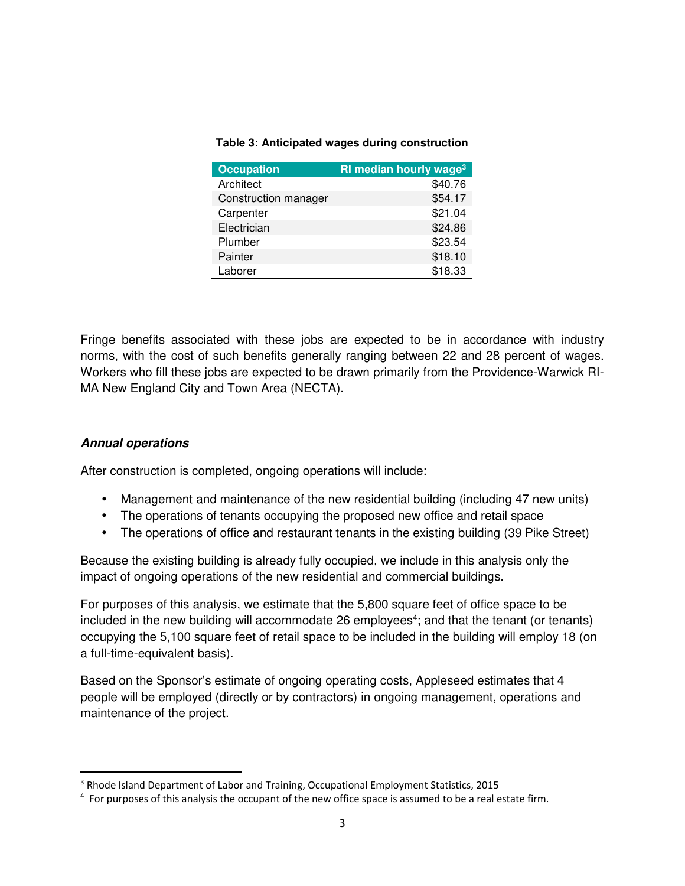#### **Table 3: Anticipated wages during construction**

| <b>Occupation</b>    | RI median hourly wage <sup>3</sup> |
|----------------------|------------------------------------|
| Architect            | \$40.76                            |
| Construction manager | \$54.17                            |
| Carpenter            | \$21.04                            |
| Electrician          | \$24.86                            |
| Plumber              | \$23.54                            |
| Painter              | \$18.10                            |
| Laborer              | \$18.33                            |

Fringe benefits associated with these jobs are expected to be in accordance with industry norms, with the cost of such benefits generally ranging between 22 and 28 percent of wages. Workers who fill these jobs are expected to be drawn primarily from the Providence-Warwick RI-MA New England City and Town Area (NECTA).

## **Annual operations**

 $\overline{a}$ 

After construction is completed, ongoing operations will include:

- Management and maintenance of the new residential building (including 47 new units)
- The operations of tenants occupying the proposed new office and retail space
- The operations of office and restaurant tenants in the existing building (39 Pike Street)

Because the existing building is already fully occupied, we include in this analysis only the impact of ongoing operations of the new residential and commercial buildings.

For purposes of this analysis, we estimate that the 5,800 square feet of office space to be included in the new building will accommodate 26 employees<sup>4</sup>; and that the tenant (or tenants) occupying the 5,100 square feet of retail space to be included in the building will employ 18 (on a full-time-equivalent basis).

Based on the Sponsor's estimate of ongoing operating costs, Appleseed estimates that 4 people will be employed (directly or by contractors) in ongoing management, operations and maintenance of the project.

<sup>&</sup>lt;sup>3</sup> Rhode Island Department of Labor and Training, Occupational Employment Statistics, 2015

<sup>&</sup>lt;sup>4</sup> For purposes of this analysis the occupant of the new office space is assumed to be a real estate firm.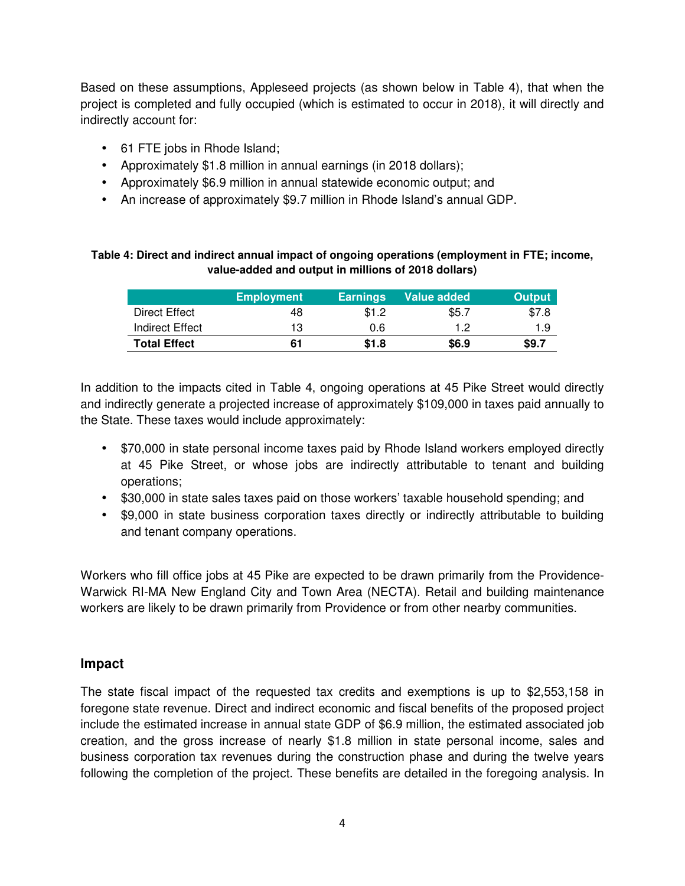Based on these assumptions, Appleseed projects (as shown below in Table 4), that when the project is completed and fully occupied (which is estimated to occur in 2018), it will directly and indirectly account for:

- 61 FTE jobs in Rhode Island;
- Approximately \$1.8 million in annual earnings (in 2018 dollars);
- Approximately \$6.9 million in annual statewide economic output; and
- An increase of approximately \$9.7 million in Rhode Island's annual GDP.

#### **Table 4: Direct and indirect annual impact of ongoing operations (employment in FTE; income, value-added and output in millions of 2018 dollars)**

|                     | <b>Employment</b> | <b>Earnings</b> | Value added | <b>Output</b> |
|---------------------|-------------------|-----------------|-------------|---------------|
| Direct Effect       | 48                | \$1.2           | \$5.7       | \$7.8         |
| Indirect Effect     | 13                | 0.6             | 12          | 1.9           |
| <b>Total Effect</b> | 61                | \$1.8           | \$6.9       | \$9.7         |

In addition to the impacts cited in Table 4, ongoing operations at 45 Pike Street would directly and indirectly generate a projected increase of approximately \$109,000 in taxes paid annually to the State. These taxes would include approximately:

- \$70,000 in state personal income taxes paid by Rhode Island workers employed directly at 45 Pike Street, or whose jobs are indirectly attributable to tenant and building operations;
- \$30,000 in state sales taxes paid on those workers' taxable household spending; and
- \$9,000 in state business corporation taxes directly or indirectly attributable to building and tenant company operations.

Workers who fill office jobs at 45 Pike are expected to be drawn primarily from the Providence-Warwick RI-MA New England City and Town Area (NECTA). Retail and building maintenance workers are likely to be drawn primarily from Providence or from other nearby communities.

## **Impact**

The state fiscal impact of the requested tax credits and exemptions is up to \$2,553,158 in foregone state revenue. Direct and indirect economic and fiscal benefits of the proposed project include the estimated increase in annual state GDP of \$6.9 million, the estimated associated job creation, and the gross increase of nearly \$1.8 million in state personal income, sales and business corporation tax revenues during the construction phase and during the twelve years following the completion of the project. These benefits are detailed in the foregoing analysis. In